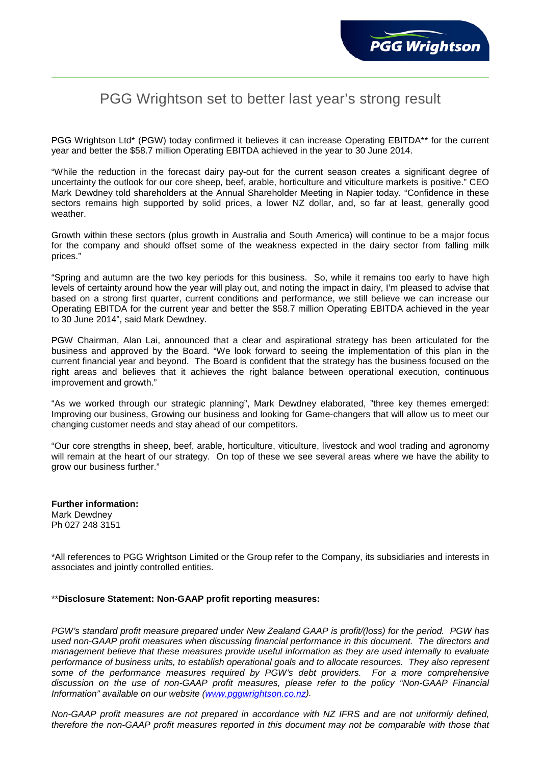## PGG Wrightson set to better last year's strong result

PGG Wrightson Ltd\* (PGW) today confirmed it believes it can increase Operating EBITDA\*\* for the current year and better the \$58.7 million Operating EBITDA achieved in the year to 30 June 2014.

"While the reduction in the forecast dairy pay-out for the current season creates a significant degree of uncertainty the outlook for our core sheep, beef, arable, horticulture and viticulture markets is positive." CEO Mark Dewdney told shareholders at the Annual Shareholder Meeting in Napier today. "Confidence in these sectors remains high supported by solid prices, a lower NZ dollar, and, so far at least, generally good weather.

Growth within these sectors (plus growth in Australia and South America) will continue to be a major focus for the company and should offset some of the weakness expected in the dairy sector from falling milk prices."

"Spring and autumn are the two key periods for this business. So, while it remains too early to have high levels of certainty around how the year will play out, and noting the impact in dairy, I'm pleased to advise that based on a strong first quarter, current conditions and performance, we still believe we can increase our Operating EBITDA for the current year and better the \$58.7 million Operating EBITDA achieved in the year to 30 June 2014", said Mark Dewdney.

PGW Chairman, Alan Lai, announced that a clear and aspirational strategy has been articulated for the business and approved by the Board. "We look forward to seeing the implementation of this plan in the current financial year and beyond. The Board is confident that the strategy has the business focused on the right areas and believes that it achieves the right balance between operational execution, continuous improvement and growth."

"As we worked through our strategic planning", Mark Dewdney elaborated, "three key themes emerged: Improving our business, Growing our business and looking for Game-changers that will allow us to meet our changing customer needs and stay ahead of our competitors.

"Our core strengths in sheep, beef, arable, horticulture, viticulture, livestock and wool trading and agronomy will remain at the heart of our strategy. On top of these we see several areas where we have the ability to grow our business further."

**Further information:** Mark Dewdney Ph 027 248 3151

\*All references to PGG Wrightson Limited or the Group refer to the Company, its subsidiaries and interests in associates and jointly controlled entities.

## \*\***Disclosure Statement: Non-GAAP profit reporting measures:**

*PGW's standard profit measure prepared under New Zealand GAAP is profit/(loss) for the period. PGW has used non-GAAP profit measures when discussing financial performance in this document. The directors and management believe that these measures provide useful information as they are used internally to evaluate performance of business units, to establish operational goals and to allocate resources. They also represent some of the performance measures required by PGW's debt providers. For a more comprehensive discussion on the use of non-GAAP profit measures, please refer to the policy "Non-GAAP Financial Information" available on our website [\(www.pggwrightson.co.nz\)](http://www.pggwrightson.co.nz/).*

*Non-GAAP profit measures are not prepared in accordance with NZ IFRS and are not uniformly defined, therefore the non-GAAP profit measures reported in this document may not be comparable with those that*